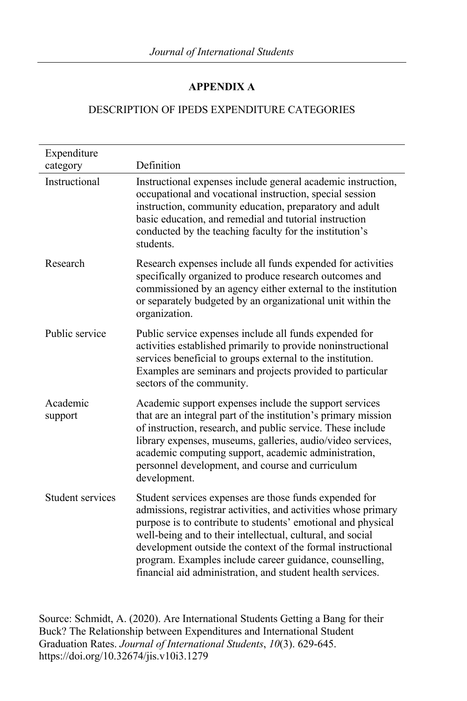## **APPENDIX A**

## DESCRIPTION OF IPEDS EXPENDITURE CATEGORIES

| Expenditure             |                                                                                                                                                                                                                                                                                                                                                                                                                                                |
|-------------------------|------------------------------------------------------------------------------------------------------------------------------------------------------------------------------------------------------------------------------------------------------------------------------------------------------------------------------------------------------------------------------------------------------------------------------------------------|
| category                | Definition                                                                                                                                                                                                                                                                                                                                                                                                                                     |
| Instructional           | Instructional expenses include general academic instruction,<br>occupational and vocational instruction, special session<br>instruction, community education, preparatory and adult<br>basic education, and remedial and tutorial instruction<br>conducted by the teaching faculty for the institution's<br>students.                                                                                                                          |
| Research                | Research expenses include all funds expended for activities<br>specifically organized to produce research outcomes and<br>commissioned by an agency either external to the institution<br>or separately budgeted by an organizational unit within the<br>organization.                                                                                                                                                                         |
| Public service          | Public service expenses include all funds expended for<br>activities established primarily to provide noninstructional<br>services beneficial to groups external to the institution.<br>Examples are seminars and projects provided to particular<br>sectors of the community.                                                                                                                                                                 |
| Academic<br>support     | Academic support expenses include the support services<br>that are an integral part of the institution's primary mission<br>of instruction, research, and public service. These include<br>library expenses, museums, galleries, audio/video services,<br>academic computing support, academic administration,<br>personnel development, and course and curriculum<br>development.                                                             |
| <b>Student services</b> | Student services expenses are those funds expended for<br>admissions, registrar activities, and activities whose primary<br>purpose is to contribute to students' emotional and physical<br>well-being and to their intellectual, cultural, and social<br>development outside the context of the formal instructional<br>program. Examples include career guidance, counselling,<br>financial aid administration, and student health services. |

Source: Schmidt, A. (2020). Are International Students Getting a Bang for their Buck? The Relationship between Expenditures and International Student Graduation Rates. *Journal of International Students*, *10*(3). 629-645. https://doi.org/10.32674/jis.v10i3.1279